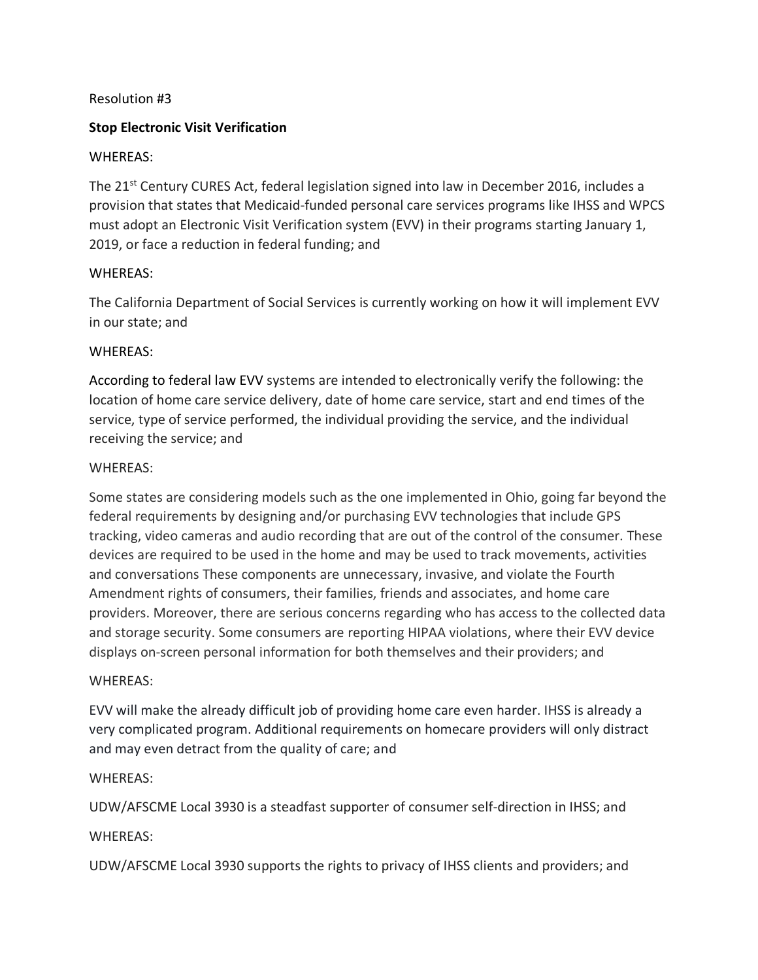# Resolution #3

# **Stop Electronic Visit Verification**

## WHEREAS:

The 21<sup>st</sup> Century CURES Act, federal legislation signed into law in December 2016, includes a provision that states that Medicaid-funded personal care services programs like IHSS and WPCS must adopt an Electronic Visit Verification system (EVV) in their programs starting January 1, 2019, or face a reduction in federal funding; and

#### WHEREAS:

The California Department of Social Services is currently working on how it will implement EVV in our state; and

#### WHEREAS:

According to federal law EVV systems are intended to electronically verify the following: the location of home care service delivery, date of home care service, start and end times of the service, type of service performed, the individual providing the service, and the individual receiving the service; and

#### WHEREAS:

Some states are considering models such as the one implemented in Ohio, going far beyond the federal requirements by designing and/or purchasing EVV technologies that include GPS tracking, video cameras and audio recording that are out of the control of the consumer. These devices are required to be used in the home and may be used to track movements, activities and conversations These components are unnecessary, invasive, and violate the Fourth Amendment rights of consumers, their families, friends and associates, and home care providers. Moreover, there are serious concerns regarding who has access to the collected data and storage security. Some consumers are reporting HIPAA violations, where their EVV device displays on-screen personal information for both themselves and their providers; and

#### WHEREAS:

EVV will make the already difficult job of providing home care even harder. IHSS is already a very complicated program. Additional requirements on homecare providers will only distract and may even detract from the quality of care; and

#### WHEREAS:

UDW/AFSCME Local 3930 is a steadfast supporter of consumer self-direction in IHSS; and

#### WHEREAS:

UDW/AFSCME Local 3930 supports the rights to privacy of IHSS clients and providers; and